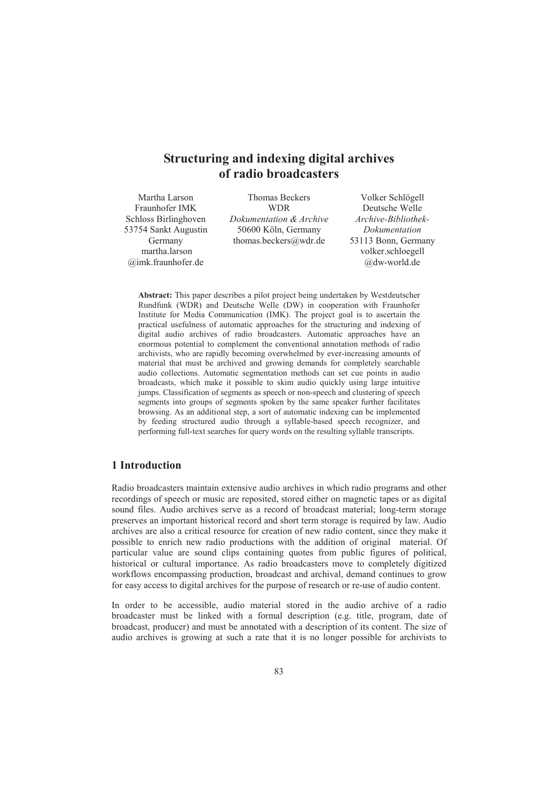# **Structuring and indexing digital archives of radio broadcasters**

Martha Larson Fraunhofer IMK Schloss Birlinghoven 53754 Sankt Augustin Germany martha.larson @imk.fraunhofer.de

Thomas Beckers **WDR** *Dokumentation & Archive* 50600 Köln, Germany thomas.beckers@wdr.de

Volker Schlögell Deutsche Welle *Archive-Bibliothek-Dokumentation* 53113 Bonn, Germany volker.schloegell @dw-world.de

**Abstract:** This paper describes a pilot project being undertaken by Westdeutscher Rundfunk (WDR) and Deutsche Welle (DW) in cooperation with Fraunhofer Institute for Media Communication (IMK). The project goal is to ascertain the practical usefulness of automatic approaches for the structuring and indexing of digital audio archives of radio broadcasters. Automatic approaches have an enormous potential to complement the conventional annotation methods of radio archivists, who are rapidly becoming overwhelmed by ever-increasing amounts of material that must be archived and growing demands for completely searchable audio collections. Automatic segmentation methods can set cue points in audio broadcasts, which make it possible to skim audio quickly using large intuitive jumps. Classification of segments as speech or non-speech and clustering of speech segments into groups of segments spoken by the same speaker further facilitates browsing. As an additional step, a sort of automatic indexing can be implemented by feeding structured audio through a syllable-based speech recognizer, and performing full-text searches for query words on the resulting syllable transcripts.

#### **1 Introduction**

Radio broadcasters maintain extensive audio archives in which radio programs and other recordings of speech or music are reposited, stored either on magnetic tapes or as digital sound files. Audio archives serve as a record of broadcast material; long-term storage preserves an important historical record and short term storage is required by law. Audio archives are also a critical resource for creation of new radio content, since they make it possible to enrich new radio productions with the addition of original material. Of particular value are sound clips containing quotes from public figures of political, historical or cultural importance. As radio broadcasters move to completely digitized workflows encompassing production, broadcast and archival, demand continues to grow for easy access to digital archives for the purpose of research or re-use of audio content.

In order to be accessible, audio material stored in the audio archive of a radio broadcaster must be linked with a formal description (e.g. title, program, date of broadcast, producer) and must be annotated with a description of its content. The size of audio archives is growing at such a rate that it is no longer possible for archivists to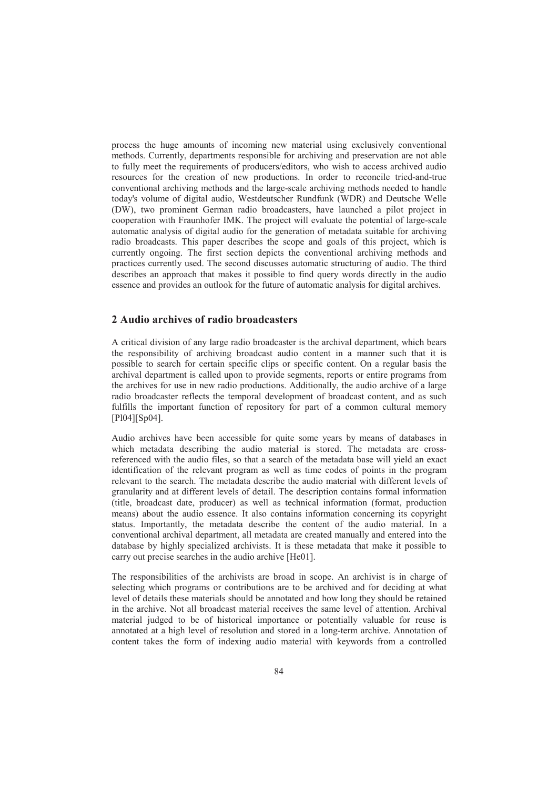process the huge amounts of incoming new material using exclusively conventional methods. Currently, departments responsible for archiving and preservation are not able to fully meet the requirements of producers/editors, who wish to access archived audio resources for the creation of new productions. In order to reconcile tried-and-true conventional archiving methods and the large-scale archiving methods needed to handle today's volume of digital audio, Westdeutscher Rundfunk (WDR) and Deutsche Welle (DW), two prominent German radio broadcasters, have launched a pilot project in cooperation with Fraunhofer IMK. The project will evaluate the potential of large-scale automatic analysis of digital audio for the generation of metadata suitable for archiving radio broadcasts. This paper describes the scope and goals of this project, which is currently ongoing. The first section depicts the conventional archiving methods and practices currently used. The second discusses automatic structuring of audio. The third describes an approach that makes it possible to find query words directly in the audio essence and provides an outlook for the future of automatic analysis for digital archives.

# **2 Audio archives of radio broadcasters**

A critical division of any large radio broadcaster is the archival department, which bears the responsibility of archiving broadcast audio content in a manner such that it is possible to search for certain specific clips or specific content. On a regular basis the archival department is called upon to provide segments, reports or entire programs from the archives for use in new radio productions. Additionally, the audio archive of a large radio broadcaster reflects the temporal development of broadcast content, and as such fulfills the important function of repository for part of a common cultural memory [Pl04][Sp04].

Audio archives have been accessible for quite some years by means of databases in which metadata describing the audio material is stored. The metadata are crossreferenced with the audio files, so that a search of the metadata base will yield an exact identification of the relevant program as well as time codes of points in the program relevant to the search. The metadata describe the audio material with different levels of granularity and at different levels of detail. The description contains formal information (title, broadcast date, producer) as well as technical information (format, production means) about the audio essence. It also contains information concerning its copyright status. Importantly, the metadata describe the content of the audio material. In a conventional archival department, all metadata are created manually and entered into the database by highly specialized archivists. It is these metadata that make it possible to carry out precise searches in the audio archive [He01].

The responsibilities of the archivists are broad in scope. An archivist is in charge of selecting which programs or contributions are to be archived and for deciding at what level of details these materials should be annotated and how long they should be retained in the archive. Not all broadcast material receives the same level of attention. Archival material judged to be of historical importance or potentially valuable for reuse is annotated at a high level of resolution and stored in a long-term archive. Annotation of content takes the form of indexing audio material with keywords from a controlled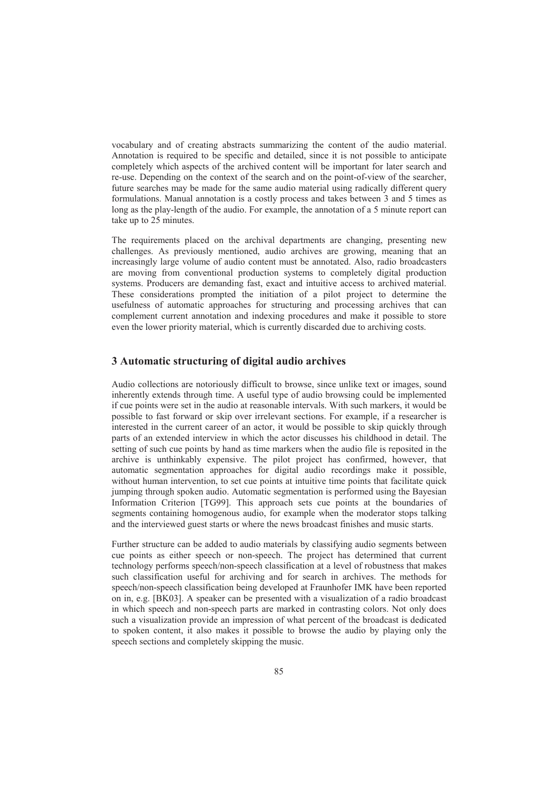vocabulary and of creating abstracts summarizing the content of the audio material. Annotation is required to be specific and detailed, since it is not possible to anticipate completely which aspects of the archived content will be important for later search and re-use. Depending on the context of the search and on the point-of-view of the searcher, future searches may be made for the same audio material using radically different query formulations. Manual annotation is a costly process and takes between 3 and 5 times as long as the play-length of the audio. For example, the annotation of a 5 minute report can take up to 25 minutes.

The requirements placed on the archival departments are changing, presenting new challenges. As previously mentioned, audio archives are growing, meaning that an increasingly large volume of audio content must be annotated. Also, radio broadcasters are moving from conventional production systems to completely digital production systems. Producers are demanding fast, exact and intuitive access to archived material. These considerations prompted the initiation of a pilot project to determine the usefulness of automatic approaches for structuring and processing archives that can complement current annotation and indexing procedures and make it possible to store even the lower priority material, which is currently discarded due to archiving costs.

# **3 Automatic structuring of digital audio archives**

Audio collections are notoriously difficult to browse, since unlike text or images, sound inherently extends through time. A useful type of audio browsing could be implemented if cue points were set in the audio at reasonable intervals. With such markers, it would be possible to fast forward or skip over irrelevant sections. For example, if a researcher is interested in the current career of an actor, it would be possible to skip quickly through parts of an extended interview in which the actor discusses his childhood in detail. The setting of such cue points by hand as time markers when the audio file is reposited in the archive is unthinkably expensive. The pilot project has confirmed, however, that automatic segmentation approaches for digital audio recordings make it possible, without human intervention, to set cue points at intuitive time points that facilitate quick jumping through spoken audio. Automatic segmentation is performed using the Bayesian Information Criterion [TG99]. This approach sets cue points at the boundaries of segments containing homogenous audio, for example when the moderator stops talking and the interviewed guest starts or where the news broadcast finishes and music starts.

Further structure can be added to audio materials by classifying audio segments between cue points as either speech or non-speech. The project has determined that current technology performs speech/non-speech classification at a level of robustness that makes such classification useful for archiving and for search in archives. The methods for speech/non-speech classification being developed at Fraunhofer IMK have been reported on in, e.g. [BK03]. A speaker can be presented with a visualization of a radio broadcast in which speech and non-speech parts are marked in contrasting colors. Not only does such a visualization provide an impression of what percent of the broadcast is dedicated to spoken content, it also makes it possible to browse the audio by playing only the speech sections and completely skipping the music.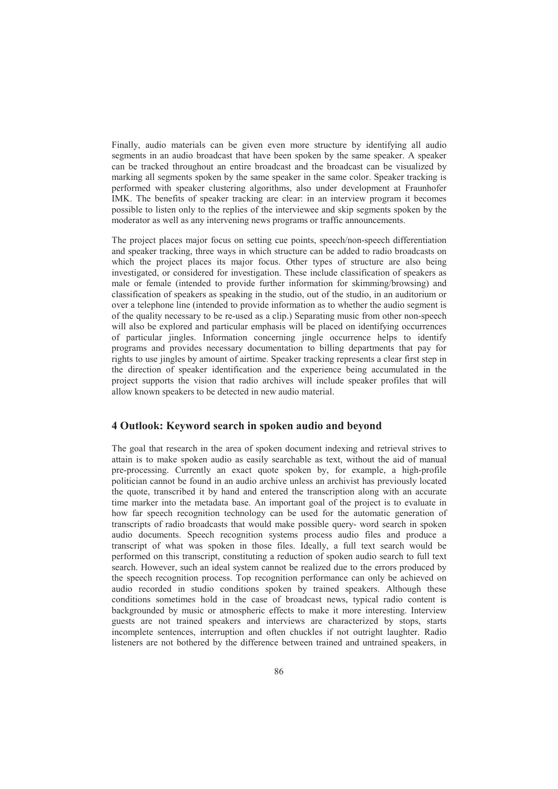Finally, audio materials can be given even more structure by identifying all audio segments in an audio broadcast that have been spoken by the same speaker. A speaker can be tracked throughout an entire broadcast and the broadcast can be visualized by marking all segments spoken by the same speaker in the same color. Speaker tracking is performed with speaker clustering algorithms, also under development at Fraunhofer IMK. The benefits of speaker tracking are clear: in an interview program it becomes possible to listen only to the replies of the interviewee and skip segments spoken by the moderator as well as any intervening news programs or traffic announcements.

The project places major focus on setting cue points, speech/non-speech differentiation and speaker tracking, three ways in which structure can be added to radio broadcasts on which the project places its major focus. Other types of structure are also being investigated, or considered for investigation. These include classification of speakers as male or female (intended to provide further information for skimming/browsing) and classification of speakers as speaking in the studio, out of the studio, in an auditorium or over a telephone line (intended to provide information as to whether the audio segment is of the quality necessary to be re-used as a clip.) Separating music from other non-speech will also be explored and particular emphasis will be placed on identifying occurrences of particular jingles. Information concerning jingle occurrence helps to identify programs and provides necessary documentation to billing departments that pay for rights to use jingles by amount of airtime. Speaker tracking represents a clear first step in the direction of speaker identification and the experience being accumulated in the project supports the vision that radio archives will include speaker profiles that will allow known speakers to be detected in new audio material.

## **4 Outlook: Keyword search in spoken audio and beyond**

The goal that research in the area of spoken document indexing and retrieval strives to attain is to make spoken audio as easily searchable as text, without the aid of manual pre-processing. Currently an exact quote spoken by, for example, a high-profile politician cannot be found in an audio archive unless an archivist has previously located the quote, transcribed it by hand and entered the transcription along with an accurate time marker into the metadata base. An important goal of the project is to evaluate in how far speech recognition technology can be used for the automatic generation of transcripts of radio broadcasts that would make possible query- word search in spoken audio documents. Speech recognition systems process audio files and produce a transcript of what was spoken in those files. Ideally, a full text search would be performed on this transcript, constituting a reduction of spoken audio search to full text search. However, such an ideal system cannot be realized due to the errors produced by the speech recognition process. Top recognition performance can only be achieved on audio recorded in studio conditions spoken by trained speakers. Although these conditions sometimes hold in the case of broadcast news, typical radio content is backgrounded by music or atmospheric effects to make it more interesting. Interview guests are not trained speakers and interviews are characterized by stops, starts incomplete sentences, interruption and often chuckles if not outright laughter. Radio listeners are not bothered by the difference between trained and untrained speakers, in